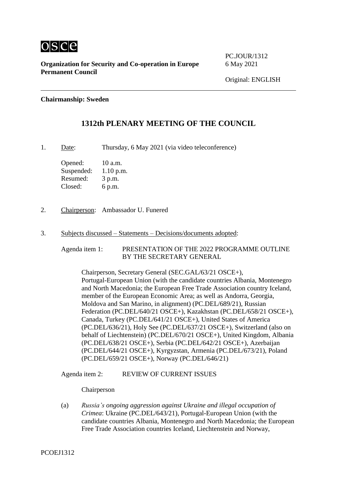

PC.JOUR/1312

### **Chairmanship: Sweden**

# **1312th PLENARY MEETING OF THE COUNCIL**

1. Date: Thursday, 6 May 2021 (via video teleconference)

Opened: 10 a.m. Suspended: 1.10 p.m. Resumed: 3 p.m. Closed: 6 p.m.

- 2. Chairperson: Ambassador U. Funered
- 3. Subjects discussed Statements Decisions/documents adopted:

Agenda item 1: PRESENTATION OF THE 2022 PROGRAMME OUTLINE BY THE SECRETARY GENERAL

Chairperson, Secretary General (SEC.GAL/63/21 OSCE+), Portugal-European Union (with the candidate countries Albania, Montenegro and North Macedonia; the European Free Trade Association country Iceland, member of the European Economic Area; as well as Andorra, Georgia, Moldova and San Marino, in alignment) (PC.DEL/689/21), Russian Federation (PC.DEL/640/21 OSCE+), Kazakhstan (PC.DEL/658/21 OSCE+), Canada, Turkey (PC.DEL/641/21 OSCE+), United States of America (PC.DEL/636/21), Holy See (PC.DEL/637/21 OSCE+), Switzerland (also on behalf of Liechtenstein) (PC.DEL/670/21 OSCE+), United Kingdom, Albania (PC.DEL/638/21 OSCE+), Serbia (PC.DEL/642/21 OSCE+), Azerbaijan (PC.DEL/644/21 OSCE+), Kyrgyzstan, Armenia (PC.DEL/673/21), Poland (PC.DEL/659/21 OSCE+), Norway (PC.DEL/646/21)

Agenda item 2: REVIEW OF CURRENT ISSUES

Chairperson

(a) *Russia's ongoing aggression against Ukraine and illegal occupation of Crimea*: Ukraine (PC.DEL/643/21), Portugal-European Union (with the candidate countries Albania, Montenegro and North Macedonia; the European Free Trade Association countries Iceland, Liechtenstein and Norway,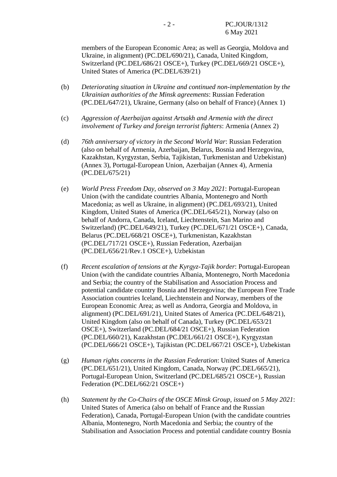members of the European Economic Area; as well as Georgia, Moldova and Ukraine, in alignment) (PC.DEL/690/21), Canada, United Kingdom, Switzerland (PC.DEL/686/21 OSCE+), Turkey (PC.DEL/669/21 OSCE+), United States of America (PC.DEL/639/21)

- (b) *Deteriorating situation in Ukraine and continued non-implementation by the Ukrainian authorities of the Minsk agreements*: Russian Federation (PC.DEL/647/21), Ukraine, Germany (also on behalf of France) (Annex 1)
- (c) *Aggression of Azerbaijan against Artsakh and Armenia with the direct involvement of Turkey and foreign terrorist fighters*: Armenia (Annex 2)
- (d) *76th anniversary of victory in the Second World War*: Russian Federation (also on behalf of Armenia, Azerbaijan, Belarus, Bosnia and Herzegovina, Kazakhstan, Kyrgyzstan, Serbia, Tajikistan, Turkmenistan and Uzbekistan) (Annex 3), Portugal-European Union, Azerbaijan (Annex 4), Armenia (PC.DEL/675/21)
- (e) *World Press Freedom Day, observed on 3 May 2021*: Portugal-European Union (with the candidate countries Albania, Montenegro and North Macedonia; as well as Ukraine, in alignment) (PC.DEL/693/21), United Kingdom, United States of America (PC.DEL/645/21), Norway (also on behalf of Andorra, Canada, Iceland, Liechtenstein, San Marino and Switzerland) (PC.DEL/649/21), Turkey (PC.DEL/671/21 OSCE+), Canada, Belarus (PC.DEL/668/21 OSCE+), Turkmenistan, Kazakhstan (PC.DEL/717/21 OSCE+), Russian Federation, Azerbaijan (PC.DEL/656/21/Rev.1 OSCE+), Uzbekistan
- (f) *Recent escalation of tensions at the Kyrgyz-Tajik border*: Portugal-European Union (with the candidate countries Albania, Montenegro, North Macedonia and Serbia; the country of the Stabilisation and Association Process and potential candidate country Bosnia and Herzegovina; the European Free Trade Association countries Iceland, Liechtenstein and Norway, members of the European Economic Area; as well as Andorra, Georgia and Moldova, in alignment) (PC.DEL/691/21), United States of America (PC.DEL/648/21), United Kingdom (also on behalf of Canada), Turkey (PC.DEL/653/21 OSCE+), Switzerland (PC.DEL/684/21 OSCE+), Russian Federation (PC.DEL/660/21), Kazakhstan (PC.DEL/661/21 OSCE+), Kyrgyzstan (PC.DEL/666/21 OSCE+), Tajikistan (PC.DEL/667/21 OSCE+), Uzbekistan
- (g) *Human rights concerns in the Russian Federation*: United States of America (PC.DEL/651/21), United Kingdom, Canada, Norway (PC.DEL/665/21), Portugal-European Union, Switzerland (PC.DEL/685/21 OSCE+), Russian Federation (PC.DEL/662/21 OSCE+)
- (h) *Statement by the Co-Chairs of the OSCE Minsk Group, issued on 5 May 2021*: United States of America (also on behalf of France and the Russian Federation), Canada, Portugal-European Union (with the candidate countries Albania, Montenegro, North Macedonia and Serbia; the country of the Stabilisation and Association Process and potential candidate country Bosnia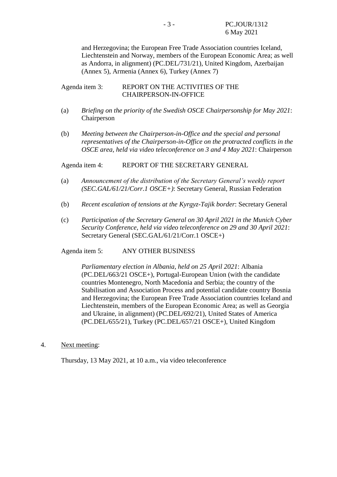and Herzegovina; the European Free Trade Association countries Iceland, Liechtenstein and Norway, members of the European Economic Area; as well as Andorra, in alignment) (PC.DEL/731/21), United Kingdom, Azerbaijan (Annex 5), Armenia (Annex 6), Turkey (Annex 7)

### Agenda item 3: REPORT ON THE ACTIVITIES OF THE CHAIRPERSON-IN-OFFICE

- (a) *Briefing on the priority of the Swedish OSCE Chairpersonship for May 2021*: Chairperson
- (b) *Meeting between the Chairperson-in-Office and the special and personal representatives of the Chairperson-in-Office on the protracted conflicts in the OSCE area, held via video teleconference on 3 and 4 May 2021*: Chairperson

Agenda item 4: REPORT OF THE SECRETARY GENERAL

- (a) *Announcement of the distribution of the Secretary General's weekly report (SEC.GAL/61/21/Corr.1 OSCE+)*: Secretary General, Russian Federation
- (b) *Recent escalation of tensions at the Kyrgyz-Tajik border*: Secretary General
- (c) *Participation of the Secretary General on 30 April 2021 in the Munich Cyber Security Conference, held via video teleconference on 29 and 30 April 2021*: Secretary General (SEC.GAL/61/21/Corr.1 OSCE+)

Agenda item 5: ANY OTHER BUSINESS

*Parliamentary election in Albania, held on 25 April 2021*: Albania (PC.DEL/663/21 OSCE+), Portugal-European Union (with the candidate countries Montenegro, North Macedonia and Serbia; the country of the Stabilisation and Association Process and potential candidate country Bosnia and Herzegovina; the European Free Trade Association countries Iceland and Liechtenstein, members of the European Economic Area; as well as Georgia and Ukraine, in alignment) (PC.DEL/692/21), United States of America (PC.DEL/655/21), Turkey (PC.DEL/657/21 OSCE+), United Kingdom

4. Next meeting:

Thursday, 13 May 2021, at 10 a.m., via video teleconference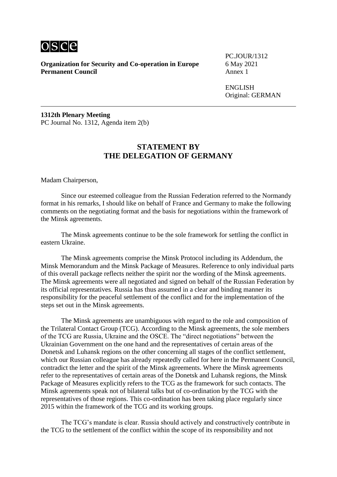

**Organization for Security and Co-operation in Europe** 6 May 2021<br>**Permanent Council** Annex 1 **Permanent Council** 

PC.JOUR/1312

ENGLISH Original: GERMAN

**1312th Plenary Meeting** PC Journal No. 1312, Agenda item 2(b)

### **STATEMENT BY THE DELEGATION OF GERMANY**

Madam Chairperson,

Since our esteemed colleague from the Russian Federation referred to the Normandy format in his remarks, I should like on behalf of France and Germany to make the following comments on the negotiating format and the basis for negotiations within the framework of the Minsk agreements.

The Minsk agreements continue to be the sole framework for settling the conflict in eastern Ukraine.

The Minsk agreements comprise the Minsk Protocol including its Addendum, the Minsk Memorandum and the Minsk Package of Measures. Reference to only individual parts of this overall package reflects neither the spirit nor the wording of the Minsk agreements. The Minsk agreements were all negotiated and signed on behalf of the Russian Federation by its official representatives. Russia has thus assumed in a clear and binding manner its responsibility for the peaceful settlement of the conflict and for the implementation of the steps set out in the Minsk agreements.

The Minsk agreements are unambiguous with regard to the role and composition of the Trilateral Contact Group (TCG). According to the Minsk agreements, the sole members of the TCG are Russia, Ukraine and the OSCE. The "direct negotiations" between the Ukrainian Government on the one hand and the representatives of certain areas of the Donetsk and Luhansk regions on the other concerning all stages of the conflict settlement, which our Russian colleague has already repeatedly called for here in the Permanent Council, contradict the letter and the spirit of the Minsk agreements. Where the Minsk agreements refer to the representatives of certain areas of the Donetsk and Luhansk regions, the Minsk Package of Measures explicitly refers to the TCG as the framework for such contacts. The Minsk agreements speak not of bilateral talks but of co-ordination by the TCG with the representatives of those regions. This co-ordination has been taking place regularly since 2015 within the framework of the TCG and its working groups.

The TCG's mandate is clear. Russia should actively and constructively contribute in the TCG to the settlement of the conflict within the scope of its responsibility and not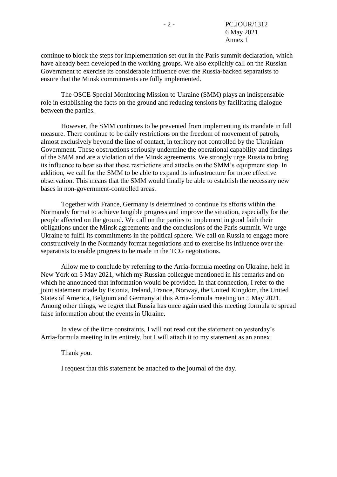continue to block the steps for implementation set out in the Paris summit declaration, which have already been developed in the working groups. We also explicitly call on the Russian Government to exercise its considerable influence over the Russia-backed separatists to ensure that the Minsk commitments are fully implemented.

The OSCE Special Monitoring Mission to Ukraine (SMM) plays an indispensable role in establishing the facts on the ground and reducing tensions by facilitating dialogue between the parties.

However, the SMM continues to be prevented from implementing its mandate in full measure. There continue to be daily restrictions on the freedom of movement of patrols, almost exclusively beyond the line of contact, in territory not controlled by the Ukrainian Government. These obstructions seriously undermine the operational capability and findings of the SMM and are a violation of the Minsk agreements. We strongly urge Russia to bring its influence to bear so that these restrictions and attacks on the SMM's equipment stop. In addition, we call for the SMM to be able to expand its infrastructure for more effective observation. This means that the SMM would finally be able to establish the necessary new bases in non-government-controlled areas.

Together with France, Germany is determined to continue its efforts within the Normandy format to achieve tangible progress and improve the situation, especially for the people affected on the ground. We call on the parties to implement in good faith their obligations under the Minsk agreements and the conclusions of the Paris summit. We urge Ukraine to fulfil its commitments in the political sphere. We call on Russia to engage more constructively in the Normandy format negotiations and to exercise its influence over the separatists to enable progress to be made in the TCG negotiations.

Allow me to conclude by referring to the Arria-formula meeting on Ukraine, held in New York on 5 May 2021, which my Russian colleague mentioned in his remarks and on which he announced that information would be provided. In that connection, I refer to the joint statement made by Estonia, Ireland, France, Norway, the United Kingdom, the United States of America, Belgium and Germany at this Arria-formula meeting on 5 May 2021. Among other things, we regret that Russia has once again used this meeting formula to spread false information about the events in Ukraine.

In view of the time constraints, I will not read out the statement on yesterday's Arria-formula meeting in its entirety, but I will attach it to my statement as an annex.

Thank you.

I request that this statement be attached to the journal of the day.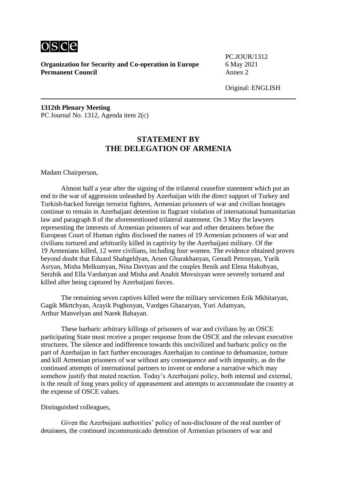

PC.JOUR/1312

Original: ENGLISH

**1312th Plenary Meeting** PC Journal No. 1312, Agenda item 2(c)

# **STATEMENT BY THE DELEGATION OF ARMENIA**

Madam Chairperson,

Almost half a year after the signing of the trilateral ceasefire statement which put an end to the war of aggression unleashed by Azerbaijan with the direct support of Turkey and Turkish-backed foreign terrorist fighters, Armenian prisoners of war and civilian hostages continue to remain in Azerbaijani detention in flagrant violation of international humanitarian law and paragraph 8 of the aforementioned trilateral statement. On 3 May the lawyers representing the interests of Armenian prisoners of war and other detainees before the European Court of Human rights disclosed the names of 19 Armenian prisoners of war and civilians tortured and arbitrarily killed in captivity by the Azerbaijani military. Of the 19 Armenians killed, 12 were civilians, including four women. The evidence obtained proves beyond doubt that Eduard Shahgeldyan, Arsen Gharakhanyan, Genadi Petrosyan, Yurik Asryan, Misha Melkumyan, Nina Davtyan and the couples Benik and Elena Hakobyan, Serzhik and Ella Vardanyan and Misha and Anahit Movsisyan were severely tortured and killed after being captured by Azerbaijani forces.

The remaining seven captives killed were the military servicemen Erik Mkhitaryan, Gagik Mkrtchyan, Arayik Poghosyan, Vardges Ghazaryan, Yuri Adamyan, Arthur Manvelyan and Narek Babayan.

These barbaric arbitrary killings of prisoners of war and civilians by an OSCE participating State must receive a proper response from the OSCE and the relevant executive structures. The silence and indifference towards this uncivilized and barbaric policy on the part of Azerbaijan in fact further encourages Azerbaijan to continue to dehumanize, torture and kill Armenian prisoners of war without any consequence and with impunity, as do the continued attempts of international partners to invent or endorse a narrative which may somehow justify that muted reaction. Today's Azerbaijani policy, both internal and external, is the result of long years policy of appeasement and attempts to accommodate the country at the expense of OSCE values.

Distinguished colleagues,

Given the Azerbaijani authorities' policy of non-disclosure of the real number of detainees, the continued incommunicado detention of Armenian prisoners of war and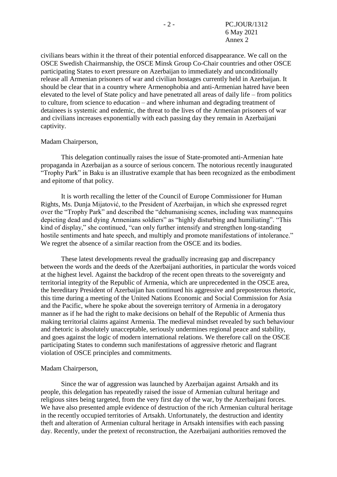civilians bears within it the threat of their potential enforced disappearance. We call on the OSCE Swedish Chairmanship, the OSCE Minsk Group Co-Chair countries and other OSCE participating States to exert pressure on Azerbaijan to immediately and unconditionally release all Armenian prisoners of war and civilian hostages currently held in Azerbaijan. It should be clear that in a country where Armenophobia and anti-Armenian hatred have been elevated to the level of State policy and have penetrated all areas of daily life – from politics to culture, from science to education – and where inhuman and degrading treatment of detainees is systemic and endemic, the threat to the lives of the Armenian prisoners of war and civilians increases exponentially with each passing day they remain in Azerbaijani captivity.

### Madam Chairperson,

This delegation continually raises the issue of State-promoted anti-Armenian hate propaganda in Azerbaijan as a source of serious concern. The notorious recently inaugurated "Trophy Park" in Baku is an illustrative example that has been recognized as the embodiment and epitome of that policy.

It is worth recalling the letter of the Council of Europe Commissioner for Human Rights, Ms. Dunja Mijatović, to the President of Azerbaijan, in which she expressed regret over the "Trophy Park" and described the "dehumanising scenes, including wax mannequins depicting dead and dying Armenians soldiers" as "highly disturbing and humiliating". "This kind of display," she continued, "can only further intensify and strengthen long-standing hostile sentiments and hate speech, and multiply and promote manifestations of intolerance." We regret the absence of a similar reaction from the OSCE and its bodies.

These latest developments reveal the gradually increasing gap and discrepancy between the words and the deeds of the Azerbaijani authorities, in particular the words voiced at the highest level. Against the backdrop of the recent open threats to the sovereignty and territorial integrity of the Republic of Armenia, which are unprecedented in the OSCE area, the hereditary President of Azerbaijan has continued his aggressive and preposterous rhetoric, this time during a meeting of the United Nations Economic and Social Commission for Asia and the Pacific, where he spoke about the sovereign territory of Armenia in a derogatory manner as if he had the right to make decisions on behalf of the Republic of Armenia thus making territorial claims against Armenia. The medieval mindset revealed by such behaviour and rhetoric is absolutely unacceptable, seriously undermines regional peace and stability, and goes against the logic of modern international relations. We therefore call on the OSCE participating States to condemn such manifestations of aggressive rhetoric and flagrant violation of OSCE principles and commitments.

### Madam Chairperson,

Since the war of aggression was launched by Azerbaijan against Artsakh and its people, this delegation has repeatedly raised the issue of Armenian cultural heritage and religious sites being targeted, from the very first day of the war, by the Azerbaijani forces. We have also presented ample evidence of destruction of the rich Armenian cultural heritage in the recently occupied territories of Artsakh. Unfortunately, the destruction and identity theft and alteration of Armenian cultural heritage in Artsakh intensifies with each passing day. Recently, under the pretext of reconstruction, the Azerbaijani authorities removed the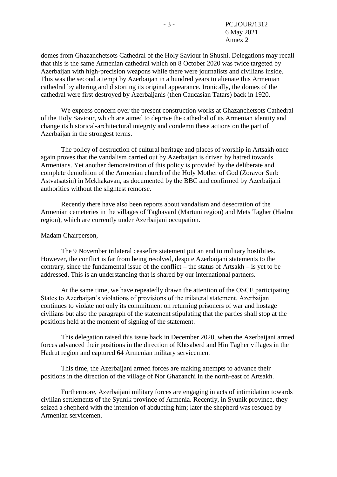domes from Ghazanchetsots Cathedral of the Holy Saviour in Shushi. Delegations may recall that this is the same Armenian cathedral which on 8 October 2020 was twice targeted by Azerbaijan with high-precision weapons while there were journalists and civilians inside. This was the second attempt by Azerbaijan in a hundred years to alienate this Armenian cathedral by altering and distorting its original appearance. Ironically, the domes of the cathedral were first destroyed by Azerbaijanis (then Caucasian Tatars) back in 1920.

We express concern over the present construction works at Ghazanchetsots Cathedral of the Holy Saviour, which are aimed to deprive the cathedral of its Armenian identity and change its historical-architectural integrity and condemn these actions on the part of Azerbaijan in the strongest terms.

The policy of destruction of cultural heritage and places of worship in Artsakh once again proves that the vandalism carried out by Azerbaijan is driven by hatred towards Armenians. Yet another demonstration of this policy is provided by the deliberate and complete demolition of the Armenian church of the Holy Mother of God (Zoravor Surb Astvatsatsin) in Mekhakavan, as documented by the BBC and confirmed by Azerbaijani authorities without the slightest remorse.

Recently there have also been reports about vandalism and desecration of the Armenian cemeteries in the villages of Taghavard (Martuni region) and Mets Tagher (Hadrut region), which are currently under Azerbaijani occupation.

#### Madam Chairperson,

The 9 November trilateral ceasefire statement put an end to military hostilities. However, the conflict is far from being resolved, despite Azerbaijani statements to the contrary, since the fundamental issue of the conflict – the status of Artsakh – is yet to be addressed. This is an understanding that is shared by our international partners.

At the same time, we have repeatedly drawn the attention of the OSCE participating States to Azerbaijan's violations of provisions of the trilateral statement. Azerbaijan continues to violate not only its commitment on returning prisoners of war and hostage civilians but also the paragraph of the statement stipulating that the parties shall stop at the positions held at the moment of signing of the statement.

This delegation raised this issue back in December 2020, when the Azerbaijani armed forces advanced their positions in the direction of Khtsaberd and Hin Tagher villages in the Hadrut region and captured 64 Armenian military servicemen.

This time, the Azerbaijani armed forces are making attempts to advance their positions in the direction of the village of Nor Ghazanchi in the north-east of Artsakh.

Furthermore, Azerbaijani military forces are engaging in acts of intimidation towards civilian settlements of the Syunik province of Armenia. Recently, in Syunik province, they seized a shepherd with the intention of abducting him; later the shepherd was rescued by Armenian servicemen.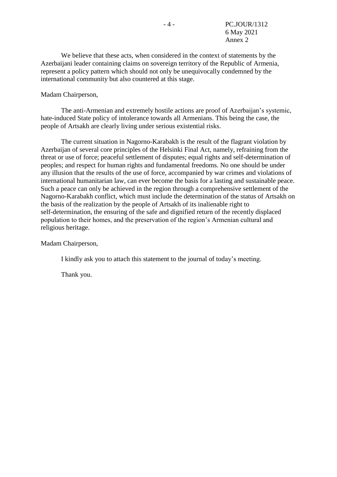We believe that these acts, when considered in the context of statements by the Azerbaijani leader containing claims on sovereign territory of the Republic of Armenia, represent a policy pattern which should not only be unequivocally condemned by the international community but also countered at this stage.

### Madam Chairperson,

The anti-Armenian and extremely hostile actions are proof of Azerbaijan's systemic, hate-induced State policy of intolerance towards all Armenians. This being the case, the people of Artsakh are clearly living under serious existential risks.

The current situation in Nagorno-Karabakh is the result of the flagrant violation by Azerbaijan of several core principles of the Helsinki Final Act, namely, refraining from the threat or use of force; peaceful settlement of disputes; equal rights and self-determination of peoples; and respect for human rights and fundamental freedoms. No one should be under any illusion that the results of the use of force, accompanied by war crimes and violations of international humanitarian law, can ever become the basis for a lasting and sustainable peace. Such a peace can only be achieved in the region through a comprehensive settlement of the Nagorno-Karabakh conflict, which must include the determination of the status of Artsakh on the basis of the realization by the people of Artsakh of its inalienable right to self-determination, the ensuring of the safe and dignified return of the recently displaced population to their homes, and the preservation of the region's Armenian cultural and religious heritage.

Madam Chairperson,

I kindly ask you to attach this statement to the journal of today's meeting.

Thank you.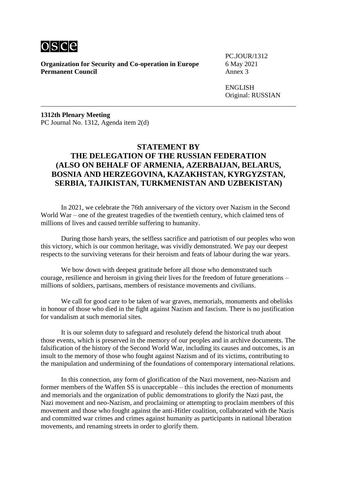

**Organization for Security and Co-operation in Europe** 6 May 2021<br>**Permanent Council** Annex 3 **Permanent Council** 

PC.JOUR/1312

ENGLISH Original: RUSSIAN

**1312th Plenary Meeting** PC Journal No. 1312, Agenda item 2(d)

# **STATEMENT BY THE DELEGATION OF THE RUSSIAN FEDERATION (ALSO ON BEHALF OF ARMENIA, AZERBAIJAN, BELARUS, BOSNIA AND HERZEGOVINA, KAZAKHSTAN, KYRGYZSTAN, SERBIA, TAJIKISTAN, TURKMENISTAN AND UZBEKISTAN)**

In 2021, we celebrate the 76th anniversary of the victory over Nazism in the Second World War – one of the greatest tragedies of the twentieth century, which claimed tens of millions of lives and caused terrible suffering to humanity.

During those harsh years, the selfless sacrifice and patriotism of our peoples who won this victory, which is our common heritage, was vividly demonstrated. We pay our deepest respects to the surviving veterans for their heroism and feats of labour during the war years.

We bow down with deepest gratitude before all those who demonstrated such courage, resilience and heroism in giving their lives for the freedom of future generations – millions of soldiers, partisans, members of resistance movements and civilians.

We call for good care to be taken of war graves, memorials, monuments and obelisks in honour of those who died in the fight against Nazism and fascism. There is no justification for vandalism at such memorial sites.

It is our solemn duty to safeguard and resolutely defend the historical truth about those events, which is preserved in the memory of our peoples and in archive documents. The falsification of the history of the Second World War, including its causes and outcomes, is an insult to the memory of those who fought against Nazism and of its victims, contributing to the manipulation and undermining of the foundations of contemporary international relations.

In this connection, any form of glorification of the Nazi movement, neo-Nazism and former members of the Waffen SS is unacceptable – this includes the erection of monuments and memorials and the organization of public demonstrations to glorify the Nazi past, the Nazi movement and neo-Nazism, and proclaiming or attempting to proclaim members of this movement and those who fought against the anti-Hitler coalition, collaborated with the Nazis and committed war crimes and crimes against humanity as participants in national liberation movements, and renaming streets in order to glorify them.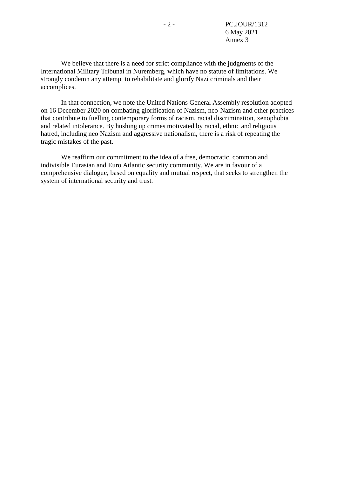We believe that there is a need for strict compliance with the judgments of the International Military Tribunal in Nuremberg, which have no statute of limitations. We strongly condemn any attempt to rehabilitate and glorify Nazi criminals and their accomplices.

In that connection, we note the United Nations General Assembly resolution adopted on 16 December 2020 on combating glorification of Nazism, neo-Nazism and other practices that contribute to fuelling contemporary forms of racism, racial discrimination, xenophobia and related intolerance. By hushing up crimes motivated by racial, ethnic and religious hatred, including neo Nazism and aggressive nationalism, there is a risk of repeating the tragic mistakes of the past.

We reaffirm our commitment to the idea of a free, democratic, common and indivisible Eurasian and Euro Atlantic security community. We are in favour of a comprehensive dialogue, based on equality and mutual respect, that seeks to strengthen the system of international security and trust.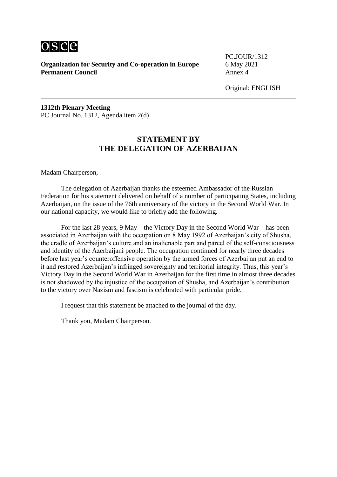

PC.JOUR/1312

Original: ENGLISH

**1312th Plenary Meeting** PC Journal No. 1312, Agenda item 2(d)

# **STATEMENT BY THE DELEGATION OF AZERBAIJAN**

Madam Chairperson,

The delegation of Azerbaijan thanks the esteemed Ambassador of the Russian Federation for his statement delivered on behalf of a number of participating States, including Azerbaijan, on the issue of the 76th anniversary of the victory in the Second World War. In our national capacity, we would like to briefly add the following.

For the last 28 years, 9 May – the Victory Day in the Second World War – has been associated in Azerbaijan with the occupation on 8 May 1992 of Azerbaijan's city of Shusha, the cradle of Azerbaijan's culture and an inalienable part and parcel of the self-consciousness and identity of the Azerbaijani people. The occupation continued for nearly three decades before last year's counteroffensive operation by the armed forces of Azerbaijan put an end to it and restored Azerbaijan's infringed sovereignty and territorial integrity. Thus, this year's Victory Day in the Second World War in Azerbaijan for the first time in almost three decades is not shadowed by the injustice of the occupation of Shusha, and Azerbaijan's contribution to the victory over Nazism and fascism is celebrated with particular pride.

I request that this statement be attached to the journal of the day.

Thank you, Madam Chairperson.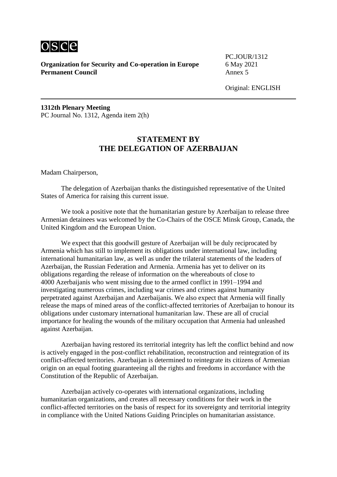

PC.JOUR/1312

Original: ENGLISH

**1312th Plenary Meeting** PC Journal No. 1312, Agenda item 2(h)

# **STATEMENT BY THE DELEGATION OF AZERBAIJAN**

Madam Chairperson,

The delegation of Azerbaijan thanks the distinguished representative of the United States of America for raising this current issue.

We took a positive note that the humanitarian gesture by Azerbaijan to release three Armenian detainees was welcomed by the Co-Chairs of the OSCE Minsk Group, Canada, the United Kingdom and the European Union.

We expect that this goodwill gesture of Azerbaijan will be duly reciprocated by Armenia which has still to implement its obligations under international law, including international humanitarian law, as well as under the trilateral statements of the leaders of Azerbaijan, the Russian Federation and Armenia. Armenia has yet to deliver on its obligations regarding the release of information on the whereabouts of close to 4000 Azerbaijanis who went missing due to the armed conflict in 1991–1994 and investigating numerous crimes, including war crimes and crimes against humanity perpetrated against Azerbaijan and Azerbaijanis. We also expect that Armenia will finally release the maps of mined areas of the conflict-affected territories of Azerbaijan to honour its obligations under customary international humanitarian law. These are all of crucial importance for healing the wounds of the military occupation that Armenia had unleashed against Azerbaijan.

Azerbaijan having restored its territorial integrity has left the conflict behind and now is actively engaged in the post-conflict rehabilitation, reconstruction and reintegration of its conflict-affected territories. Azerbaijan is determined to reintegrate its citizens of Armenian origin on an equal footing guaranteeing all the rights and freedoms in accordance with the Constitution of the Republic of Azerbaijan.

Azerbaijan actively co-operates with international organizations, including humanitarian organizations, and creates all necessary conditions for their work in the conflict-affected territories on the basis of respect for its sovereignty and territorial integrity in compliance with the United Nations Guiding Principles on humanitarian assistance.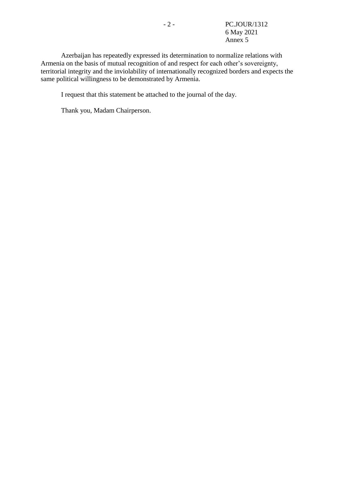Azerbaijan has repeatedly expressed its determination to normalize relations with Armenia on the basis of mutual recognition of and respect for each other's sovereignty, territorial integrity and the inviolability of internationally recognized borders and expects the same political willingness to be demonstrated by Armenia.

I request that this statement be attached to the journal of the day.

Thank you, Madam Chairperson.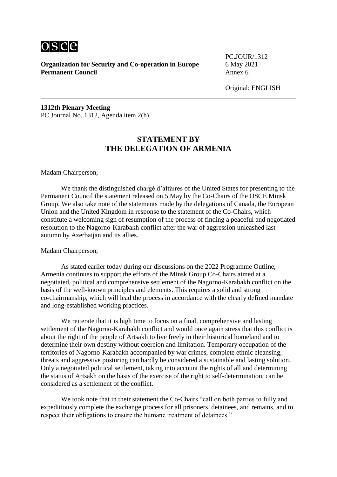

PC.JOUR/1312

Original: ENGLISH

**1312th Plenary Meeting** PC Journal No. 1312, Agenda item 2(h)

# **STATEMENT BY THE DELEGATION OF ARMENIA**

Madam Chairperson,

We thank the distinguished chargé d'affaires of the United States for presenting to the Permanent Council the statement released on 5 May by the Co-Chairs of the OSCE Minsk Group. We also take note of the statements made by the delegations of Canada, the European Union and the United Kingdom in response to the statement of the Co-Chairs, which constitute a welcoming sign of resumption of the process of finding a peaceful and negotiated resolution to the Nagorno-Karabakh conflict after the war of aggression unleashed last autumn by Azerbaijan and its allies.

Madam Chairperson,

As stated earlier today during our discussions on the 2022 Programme Outline, Armenia continues to support the efforts of the Minsk Group Co-Chairs aimed at a negotiated, political and comprehensive settlement of the Nagorno-Karabakh conflict on the basis of the well-known principles and elements. This requires a solid and strong co-chairmanship, which will lead the process in accordance with the clearly defined mandate and long-established working practices.

We reiterate that it is high time to focus on a final, comprehensive and lasting settlement of the Nagorno-Karabakh conflict and would once again stress that this conflict is about the right of the people of Artsakh to live freely in their historical homeland and to determine their own destiny without coercion and limitation. Temporary occupation of the territories of Nagorno-Karabakh accompanied by war crimes, complete ethnic cleansing, threats and aggressive posturing can hardly be considered a sustainable and lasting solution. Only a negotiated political settlement, taking into account the rights of all and determining the status of Artsakh on the basis of the exercise of the right to self-determination, can be considered as a settlement of the conflict.

We took note that in their statement the Co-Chairs "call on both parties to fully and expeditiously complete the exchange process for all prisoners, detainees, and remains, and to respect their obligations to ensure the humane treatment of detainees."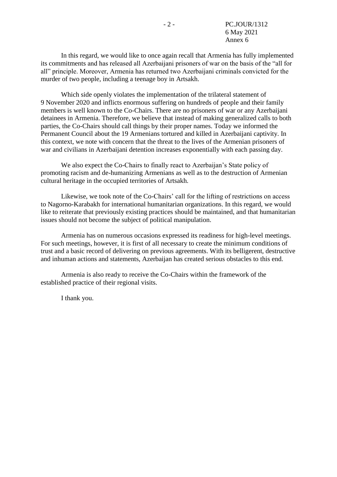In this regard, we would like to once again recall that Armenia has fully implemented its commitments and has released all Azerbaijani prisoners of war on the basis of the "all for all" principle. Moreover, Armenia has returned two Azerbaijani criminals convicted for the murder of two people, including a teenage boy in Artsakh.

Which side openly violates the implementation of the trilateral statement of 9 November 2020 and inflicts enormous suffering on hundreds of people and their family members is well known to the Co-Chairs. There are no prisoners of war or any Azerbaijani detainees in Armenia. Therefore, we believe that instead of making generalized calls to both parties, the Co-Chairs should call things by their proper names. Today we informed the Permanent Council about the 19 Armenians tortured and killed in Azerbaijani captivity. In this context, we note with concern that the threat to the lives of the Armenian prisoners of war and civilians in Azerbaijani detention increases exponentially with each passing day.

We also expect the Co-Chairs to finally react to Azerbaijan's State policy of promoting racism and de-humanizing Armenians as well as to the destruction of Armenian cultural heritage in the occupied territories of Artsakh.

Likewise, we took note of the Co-Chairs' call for the lifting of restrictions on access to Nagorno-Karabakh for international humanitarian organizations. In this regard, we would like to reiterate that previously existing practices should be maintained, and that humanitarian issues should not become the subject of political manipulation.

Armenia has on numerous occasions expressed its readiness for high-level meetings. For such meetings, however, it is first of all necessary to create the minimum conditions of trust and a basic record of delivering on previous agreements. With its belligerent, destructive and inhuman actions and statements, Azerbaijan has created serious obstacles to this end.

Armenia is also ready to receive the Co-Chairs within the framework of the established practice of their regional visits.

I thank you.